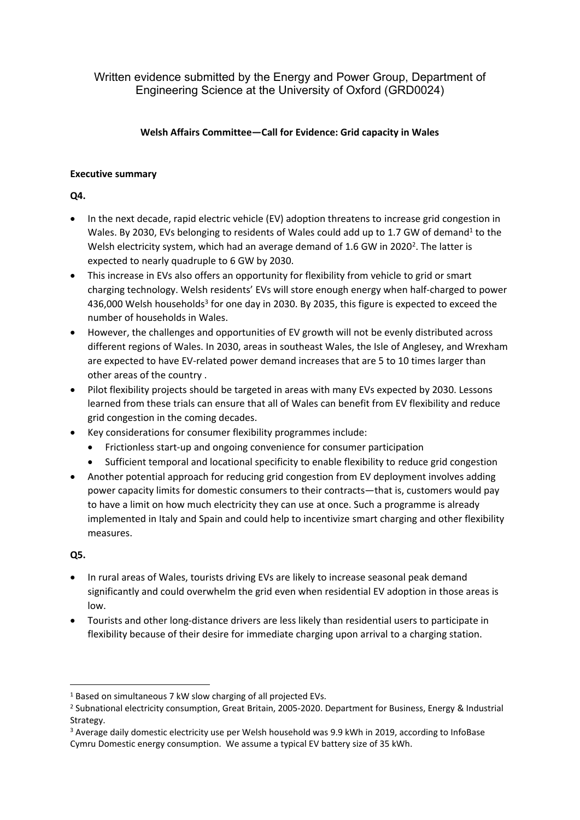Written evidence submitted by the Energy and Power Group, Department of Engineering Science at the University of Oxford (GRD0024)

## **Welsh Affairs Committee—Call for Evidence: Grid capacity in Wales**

## **Executive summary**

**Q4.**

- In the next decade, rapid electric vehicle (EV) adoption threatens to increase grid congestion in Wales. By 2030, EVs belonging to residents of Wales could add up to 1.7 GW of demand<sup>1</sup> to the Welsh electricity system, which had an average demand of 1.6 GW in 2020<sup>2</sup>. The latter is expected to nearly quadruple to 6 GW by 2030.
- This increase in EVs also offers an opportunity for flexibility from vehicle to grid or smart charging technology. Welsh residents' EVs will store enough energy when half-charged to power 436,000 Welsh households<sup>3</sup> for one day in 2030. By 2035, this figure is expected to exceed the number of households in Wales.
- However, the challenges and opportunities of EV growth will not be evenly distributed across different regions of Wales. In 2030, areas in southeast Wales, the Isle of Anglesey, and Wrexham are expected to have EV-related power demand increases that are 5 to 10 times larger than other areas of the country .
- Pilot flexibility projects should be targeted in areas with many EVs expected by 2030. Lessons learned from these trials can ensure that all of Wales can benefit from EV flexibility and reduce grid congestion in the coming decades.
- Key considerations for consumer flexibility programmes include:
	- Frictionless start-up and ongoing convenience for consumer participation
	- Sufficient temporal and locational specificity to enable flexibility to reduce grid congestion
- Another potential approach for reducing grid congestion from EV deployment involves adding power capacity limits for domestic consumers to their contracts—that is, customers would pay to have a limit on how much electricity they can use at once. Such a programme is already implemented in Italy and Spain and could help to incentivize smart charging and other flexibility measures.

# **Q5.**

- In rural areas of Wales, tourists driving EVs are likely to increase seasonal peak demand significantly and could overwhelm the grid even when residential EV adoption in those areas is low.
- Tourists and other long-distance drivers are less likely than residential users to participate in flexibility because of their desire for immediate charging upon arrival to a charging station.

<sup>1</sup> Based on simultaneous 7 kW slow charging of all projected EVs.

<sup>&</sup>lt;sup>2</sup> Subnational electricity consumption, Great Britain, 2005-2020. Department for Business, Energy & Industrial Strategy.

<sup>3</sup> Average daily domestic electricity use per Welsh household was 9.9 kWh in 2019, according to InfoBase Cymru Domestic energy consumption. We assume a typical EV battery size of 35 kWh.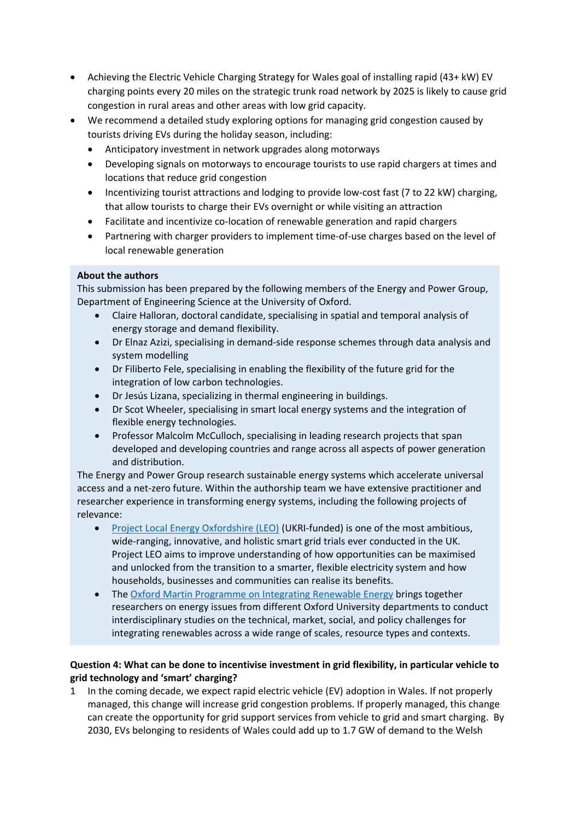- Achieving the Electric Vehicle Charging Strategy for Wales goal of installing rapid (43+ kW) EV charging points every 20 miles on the strategic trunk road network by 2025 is likely to cause grid congestion in rural areas and other areas with low grid capacity.
- We recommend a detailed study exploring options for managing grid congestion caused by tourists driving EVs during the holiday season, including:
	- Anticipatory investment in network upgrades along motorways
	- Developing signals on motorways to encourage tourists to use rapid chargers at times and locations that reduce grid congestion
	- Incentivizing tourist attractions and lodging to provide low-cost fast (7 to 22 kW) charging, that allow tourists to charge their EVs overnight or while visiting an attraction
	- Facilitate and incentivize co-location of renewable generation and rapid chargers
	- Partnering with charger providers to implement time-of-use charges based on the level of local renewable generation

## **About the authors**

This submission has been prepared by the following members of the Energy and Power Group, Department of Engineering Science at the University of Oxford.

- Claire Halloran, doctoral candidate, specialising in spatial and temporal analysis of energy storage and demand flexibility.
- Dr Elnaz Azizi, specialising in demand-side response schemes through data analysis and system modelling
- Dr Filiberto Fele, specialising in enabling the flexibility of the future grid for the integration of low carbon technologies.
- Dr Jesús Lizana, specializing in thermal engineering in buildings.
- Dr Scot Wheeler, specialising in smart local energy systems and the integration of flexible energy technologies.
- Professor Malcolm McCulloch, specialising in leading research projects that span developed and developing countries and range across all aspects of power generation and distribution.

The Energy and Power Group research sustainable energy systems which accelerate universal access and a net-zero future. Within the authorship team we have extensive practitioner and researcher experience in transforming energy systems, including the following projects of relevance:

- [Project](https://project-leo.co.uk/) [Local](https://project-leo.co.uk/) [Energy](https://project-leo.co.uk/) [Oxfordshire](https://project-leo.co.uk/) [\(LEO\)](https://project-leo.co.uk/) (UKRI-funded) is one of the most ambitious, wide-ranging, innovative, and holistic smart grid trials ever conducted in the UK. Project LEO aims to improve understanding of how opportunities can be maximised and unlocked from the transition to a smarter, flexible electricity system and how households, businesses and communities can realise its benefits.
- The [Oxford](http://www.renewableenergy.ox.ac.uk/) [Martin](http://www.renewableenergy.ox.ac.uk/) [Programme](http://www.renewableenergy.ox.ac.uk/) [on](http://www.renewableenergy.ox.ac.uk/) [Integrating](http://www.renewableenergy.ox.ac.uk/) [Renewable](http://www.renewableenergy.ox.ac.uk/) [Energy](http://www.renewableenergy.ox.ac.uk/) brings together researchers on energy issues from different Oxford University departments to conduct interdisciplinary studies on the technical, market, social, and policy challenges for integrating renewables across a wide range of scales, resource types and contexts.

### **Question 4: What can be done to incentivise investment in grid flexibility, in particular vehicle to grid technology and 'smart' charging?**

In the coming decade, we expect rapid electric vehicle (EV) adoption in Wales. If not properly managed, this change will increase grid congestion problems. If properly managed, this change can create the opportunity for grid support services from vehicle to grid and smart charging. By 2030, EVs belonging to residents of Wales could add up to 1.7 GW of demand to the Welsh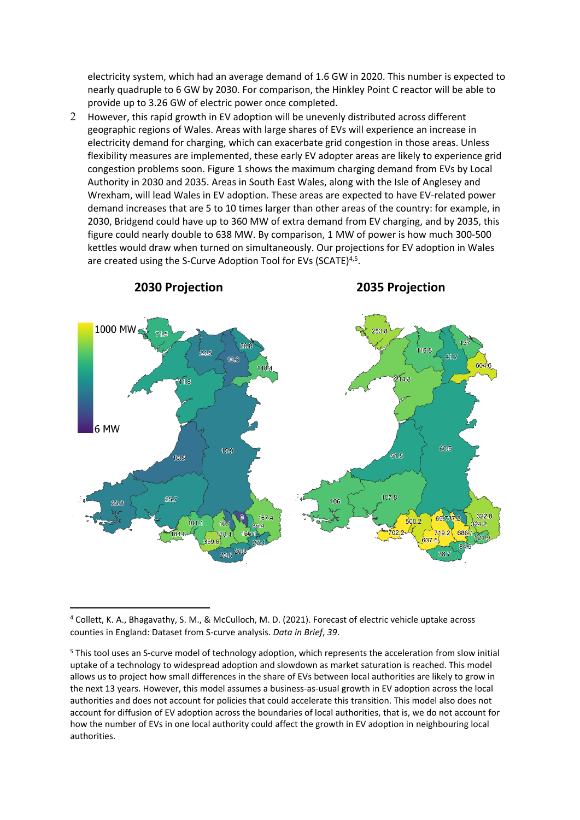electricity system, which had an average demand of 1.6 GW in 2020. This number is expected to nearly quadruple to 6 GW by 2030. For comparison, the Hinkley Point C reactor will be able to provide up to 3.26 GW of electric power once completed.

2 However, this rapid growth in EV adoption will be unevenly distributed across different geographic regions of Wales. Areas with large shares of EVs will experience an increase in electricity demand for charging, which can exacerbate grid congestion in those areas. Unless flexibility measures are implemented, these early EV adopter areas are likely to experience grid congestion problems soon. Figure 1 shows the maximum charging demand from EVs by Local Authority in 2030 and 2035. Areas in South East Wales, along with the Isle of Anglesey and Wrexham, will lead Wales in EV adoption. These areas are expected to have EV-related power demand increases that are 5 to 10 times larger than other areas of the country: for example, in 2030, Bridgend could have up to 360 MW of extra demand from EV charging, and by 2035, this figure could nearly double to 638 MW. By comparison, 1 MW of power is how much 300-500 kettles would draw when turned on simultaneously. Our projections for EV adoption in Wales are created using the S-Curve Adoption Tool for EVs (SCATE)<sup>4,5</sup>.



<sup>4</sup> Collett, K. A., Bhagavathy, S. M., & McCulloch, M. D. (2021). Forecast of electric vehicle uptake across counties in England: Dataset from S-curve analysis. *Data in Brief*, *39*.

<sup>5</sup> This tool uses an S-curve model of technology adoption, which represents the acceleration from slow initial uptake of a technology to widespread adoption and slowdown as market saturation is reached. This model allows us to project how small differences in the share of EVs between local authorities are likely to grow in the next 13 years. However, this model assumes a business-as-usual growth in EV adoption across the local authorities and does not account for policies that could accelerate this transition. This model also does not account for diffusion of EV adoption across the boundaries of local authorities, that is, we do not account for how the number of EVs in one local authority could affect the growth in EV adoption in neighbouring local authorities.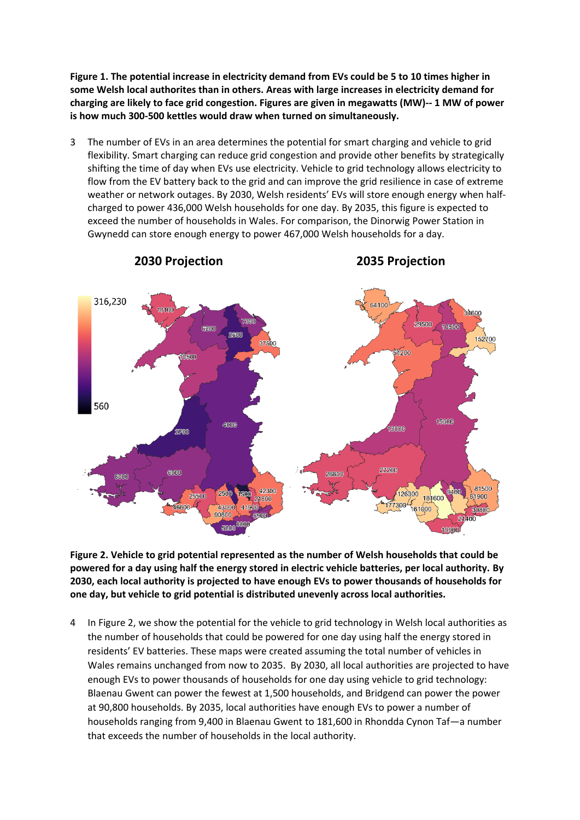**Figure 1. The potential increase in electricity demand from EVs could be 5 to 10 times higher in some Welsh local authorites than in others. Areas with large increases in electricity demand for charging are likely to face grid congestion. Figures are given in megawatts (MW)-- 1 MW of power is how much 300-500 kettles would draw when turned on simultaneously.**

3 The number of EVs in an area determines the potential for smart charging and vehicle to grid flexibility. Smart charging can reduce grid congestion and provide other benefits by strategically shifting the time of day when EVs use electricity. Vehicle to grid technology allows electricity to flow from the EV battery back to the grid and can improve the grid resilience in case of extreme weather or network outages. By 2030, Welsh residents' EVs will store enough energy when halfcharged to power 436,000 Welsh households for one day. By 2035, this figure is expected to exceed the number of households in Wales. For comparison, the Dinorwig Power Station in Gwynedd can store enough energy to power 467,000 Welsh households for a day.



**Figure 2. Vehicle to grid potential represented as the number of Welsh households that could be powered for a day using half the energy stored in electric vehicle batteries, per local authority. By 2030, each local authority is projected to have enough EVs to power thousands of households for one day, but vehicle to grid potential is distributed unevenly across local authorities.**

4 In Figure 2, we show the potential for the vehicle to grid technology in Welsh local authorities as the number of households that could be powered for one day using half the energy stored in residents' EV batteries. These maps were created assuming the total number of vehicles in Wales remains unchanged from now to 2035. By 2030, all local authorities are projected to have enough EVs to power thousands of households for one day using vehicle to grid technology: Blaenau Gwent can power the fewest at 1,500 households, and Bridgend can power the power at 90,800 households. By 2035, local authorities have enough EVs to power a number of households ranging from 9,400 in Blaenau Gwent to 181,600 in Rhondda Cynon Taf—a number that exceeds the number of households in the local authority.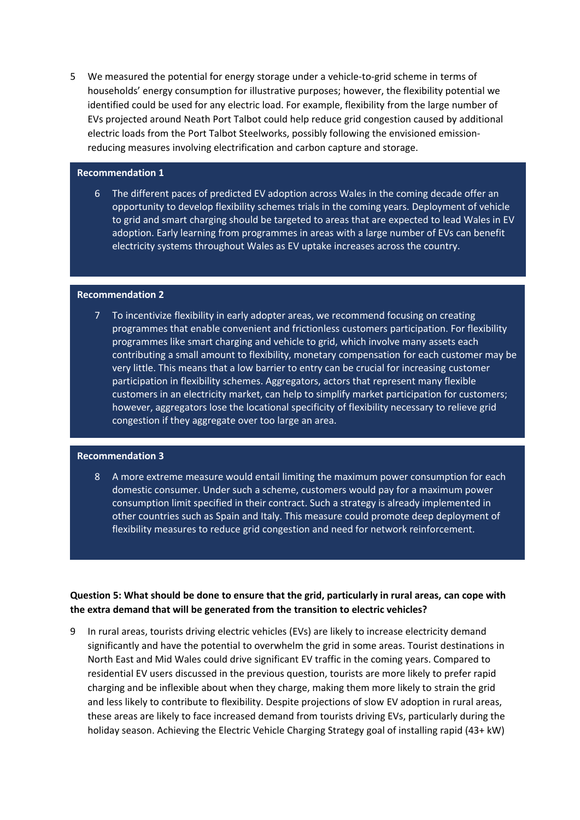5 We measured the potential for energy storage under a vehicle-to-grid scheme in terms of households' energy consumption for illustrative purposes; however, the flexibility potential we identified could be used for any electric load. For example, flexibility from the large number of EVs projected around Neath Port Talbot could help reduce grid congestion caused by additional electric loads from the Port Talbot Steelworks, possibly following the envisioned emissionreducing measures involving electrification and carbon capture and storage.

#### **Recommendation 1**

6 The different paces of predicted EV adoption across Wales in the coming decade offer an opportunity to develop flexibility schemes trials in the coming years. Deployment of vehicle to grid and smart charging should be targeted to areas that are expected to lead Wales in EV adoption. Early learning from programmes in areas with a large number of EVs can benefit electricity systems throughout Wales as EV uptake increases across the country.

### **Recommendation 2**

7 To incentivize flexibility in early adopter areas, we recommend focusing on creating programmes that enable convenient and frictionless customers participation. For flexibility programmes like smart charging and vehicle to grid, which involve many assets each contributing a small amount to flexibility, monetary compensation for each customer may be very little. This means that a low barrier to entry can be crucial for increasing customer participation in flexibility schemes. Aggregators, actors that represent many flexible customers in an electricity market, can help to simplify market participation for customers; however, aggregators lose the locational specificity of flexibility necessary to relieve grid congestion if they aggregate over too large an area.

### **Recommendation 3**

8 A more extreme measure would entail limiting the maximum power consumption for each domestic consumer. Under such a scheme, customers would pay for a maximum power consumption limit specified in their contract. Such a strategy is already implemented in other countries such as Spain and Italy. This measure could promote deep deployment of flexibility measures to reduce grid congestion and need for network reinforcement.

## Question 5: What should be done to ensure that the grid, particularly in rural areas, can cope with **the extra demand that will be generated from the transition to electric vehicles?**

9 In rural areas, tourists driving electric vehicles (EVs) are likely to increase electricity demand significantly and have the potential to overwhelm the grid in some areas. Tourist destinations in North East and Mid Wales could drive significant EV traffic in the coming years. Compared to residential EV users discussed in the previous question, tourists are more likely to prefer rapid charging and be inflexible about when they charge, making them more likely to strain the grid and less likely to contribute to flexibility. Despite projections of slow EV adoption in rural areas, these areas are likely to face increased demand from tourists driving EVs, particularly during the holiday season. Achieving the Electric Vehicle Charging Strategy goal of installing rapid (43+ kW)